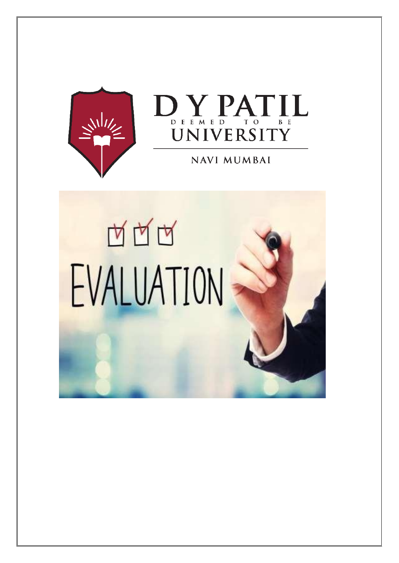



# **NAVI MUMBAI**

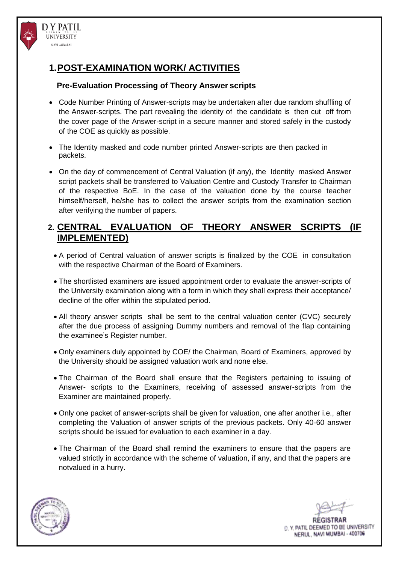

D Y PATIL UNIVERSITY NAVI MIJMRAI

#### **Pre-Evaluation Processing of Theory Answer scripts**

- Code Number Printing of Answer-scripts may be undertaken after due random shuffling of the Answer-scripts. The part revealing the identity of the candidate is then cut off from the cover page of the Answer-script in a secure manner and stored safely in the custody of the COE as quickly as possible.
- The Identity masked and code number printed Answer-scripts are then packed in packets.
- On the day of commencement of Central Valuation (if any), the Identity masked Answer script packets shall be transferred to Valuation Centre and Custody Transfer to Chairman of the respective BoE. In the case of the valuation done by the course teacher himself/herself, he/she has to collect the answer scripts from the examination section after verifying the number of papers.

### **2. CENTRAL EVALUATION OF THEORY ANSWER SCRIPTS (IF IMPLEMENTED)**

- A period of Central valuation of answer scripts is finalized by the COE in consultation with the respective Chairman of the Board of Examiners.
- The shortlisted examiners are issued appointment order to evaluate the answer-scripts of the University examination along with a form in which they shall express their acceptance/ decline of the offer within the stipulated period.
- All theory answer scripts shall be sent to the central valuation center (CVC) securely after the due process of assigning Dummy numbers and removal of the flap containing the examinee's Register number.
- Only examiners duly appointed by COE/ the Chairman, Board of Examiners, approved by the University should be assigned valuation work and none else.
- The Chairman of the Board shall ensure that the Registers pertaining to issuing of Answer- scripts to the Examiners, receiving of assessed answer-scripts from the Examiner are maintained properly.
- Only one packet of answer-scripts shall be given for valuation, one after another i.e., after completing the Valuation of answer scripts of the previous packets. Only 40-60 answer scripts should be issued for evaluation to each examiner in a day.
- The Chairman of the Board shall remind the examiners to ensure that the papers are valued strictly in accordance with the scheme of valuation, if any, and that the papers are notvalued in a hurry.



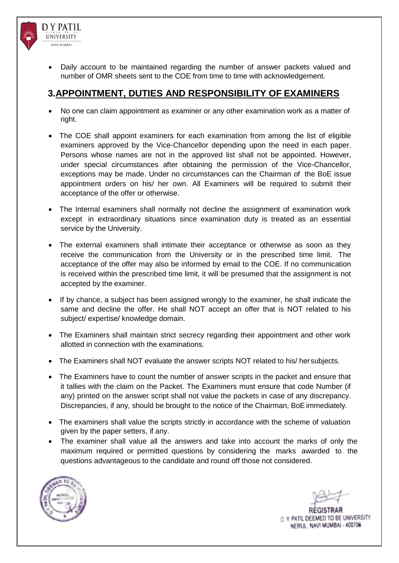

- **DY PATIL** UNIVERSITY NAVI MIJMRAI
	- Daily account to be maintained regarding the number of answer packets valued and number of OMR sheets sent to the COE from time to time with acknowledgement.

# **3.APPOINTMENT, DUTIES AND RESPONSIBILITY OF EXAMINERS**

- No one can claim appointment as examiner or any other examination work as a matter of right.
- The COE shall appoint examiners for each examination from among the list of eligible examiners approved by the Vice-Chancellor depending upon the need in each paper. Persons whose names are not in the approved list shall not be appointed. However, under special circumstances after obtaining the permission of the Vice-Chancellor, exceptions may be made. Under no circumstances can the Chairman of the BoE issue appointment orders on his/ her own. All Examiners will be required to submit their acceptance of the offer or otherwise.
- The Internal examiners shall normally not decline the assignment of examination work except in extraordinary situations since examination duty is treated as an essential service by the University.
- The external examiners shall intimate their acceptance or otherwise as soon as they receive the communication from the University or in the prescribed time limit. The acceptance of the offer may also be informed by email to the COE. If no communication is received within the prescribed time limit, it will be presumed that the assignment is not accepted by the examiner.
- If by chance, a subject has been assigned wrongly to the examiner, he shall indicate the same and decline the offer. He shall NOT accept an offer that is NOT related to his subject/ expertise/ knowledge domain.
- The Examiners shall maintain strict secrecy regarding their appointment and other work allotted in connection with the examinations.
- The Examiners shall NOT evaluate the answer scripts NOT related to his/ hersubjects.
- The Examiners have to count the number of answer scripts in the packet and ensure that it tallies with the claim on the Packet. The Examiners must ensure that code Number (if any) printed on the answer script shall not value the packets in case of any discrepancy. Discrepancies, if any, should be brought to the notice of the Chairman, BoE immediately.
- The examiners shall value the scripts strictly in accordance with the scheme of valuation given by the paper setters, if any.
- The examiner shall value all the answers and take into account the marks of only the maximum required or permitted questions by considering the marks awarded to the questions advantageous to the candidate and round off those not considered.

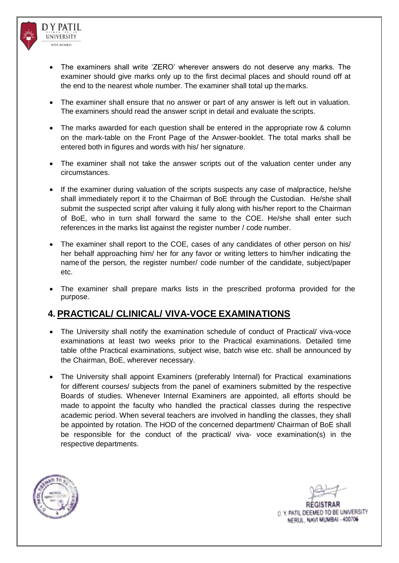

- The examiners shall write 'ZERO' wherever answers do not deserve any marks. The examiner should give marks only up to the first decimal places and should round off at the end to the nearest whole number. The examiner shall total up the marks.
- The examiner shall ensure that no answer or part of any answer is left out in valuation. The examiners should read the answer script in detail and evaluate the scripts.
- The marks awarded for each question shall be entered in the appropriate row & column on the mark-table on the Front Page of the Answer-booklet. The total marks shall be entered both in figures and words with his/ her signature.
- The examiner shall not take the answer scripts out of the valuation center under any circumstances.
- If the examiner during valuation of the scripts suspects any case of malpractice, he/she shall immediately report it to the Chairman of BoE through the Custodian. He/she shall submit the suspected script after valuing it fully along with his/her report to the Chairman of BoE, who in turn shall forward the same to the COE. He/she shall enter such references in the marks list against the register number / code number.
- The examiner shall report to the COE, cases of any candidates of other person on his/ her behalf approaching him/ her for any favor or writing letters to him/her indicating the name of the person, the register number/ code number of the candidate, subject/paper etc.
- The examiner shall prepare marks lists in the prescribed proforma provided for the purpose.

## **4. PRACTICAL/ CLINICAL/ VIVA-VOCE EXAMINATIONS**

- The University shall notify the examination schedule of conduct of Practical/ viva-voce examinations at least two weeks prior to the Practical examinations. Detailed time table ofthe Practical examinations, subject wise, batch wise etc. shall be announced by the Chairman, BoE, wherever necessary.
- The University shall appoint Examiners (preferably Internal) for Practical examinations for different courses/ subjects from the panel of examiners submitted by the respective Boards of studies. Whenever Internal Examiners are appointed, all efforts should be made to appoint the faculty who handled the practical classes during the respective academic period. When several teachers are involved in handling the classes, they shall be appointed by rotation. The HOD of the concerned department/ Chairman of BoE shall be responsible for the conduct of the practical/ viva- voce examination(s) in the respective departments.

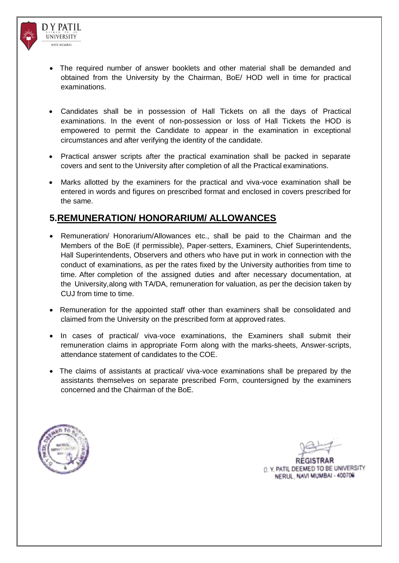

- The required number of answer booklets and other material shall be demanded and obtained from the University by the Chairman, BoE/ HOD well in time for practical examinations.
- Candidates shall be in possession of Hall Tickets on all the days of Practical examinations. In the event of non-possession or loss of Hall Tickets the HOD is empowered to permit the Candidate to appear in the examination in exceptional circumstances and after verifying the identity of the candidate.
- Practical answer scripts after the practical examination shall be packed in separate covers and sent to the University after completion of all the Practical examinations.
- Marks allotted by the examiners for the practical and viva-voce examination shall be entered in words and figures on prescribed format and enclosed in covers prescribed for the same.

### **5.REMUNERATION/ HONORARIUM/ ALLOWANCES**

- Remuneration/ Honorarium/Allowances etc., shall be paid to the Chairman and the Members of the BoE (if permissible), Paper-setters, Examiners, Chief Superintendents, Hall Superintendents, Observers and others who have put in work in connection with the conduct of examinations, as per the rates fixed by the University authorities from time to time. After completion of the assigned duties and after necessary documentation, at the University,along with TA/DA, remuneration for valuation, as per the decision taken by CUJ from time to time.
- Remuneration for the appointed staff other than examiners shall be consolidated and claimed from the University on the prescribed form at approved rates.
- In cases of practical/ viva-voce examinations, the Examiners shall submit their remuneration claims in appropriate Form along with the marks-sheets, Answer-scripts, attendance statement of candidates to the COE.
- The claims of assistants at practical/ viva-voce examinations shall be prepared by the assistants themselves on separate prescribed Form, countersigned by the examiners concerned and the Chairman of the BoE.



D. Y. PATIL DEEMED TO BE UNIVERSITY NERUL, NAVI MUMBAI - 400706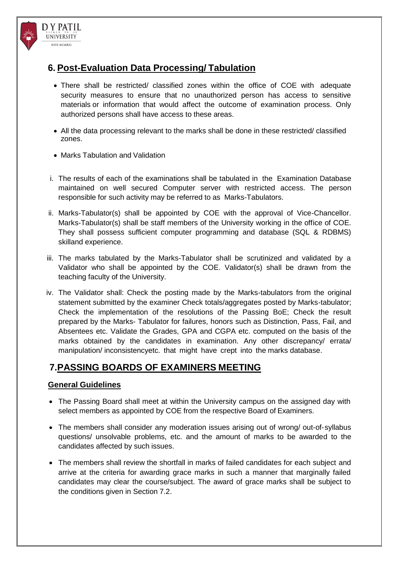

- There shall be restricted/ classified zones within the office of COE with adequate security measures to ensure that no unauthorized person has access to sensitive materials or information that would affect the outcome of examination process. Only authorized persons shall have access to these areas.
- All the data processing relevant to the marks shall be done in these restricted/ classified zones.
- Marks Tabulation and Validation

D Y PATIL UNIVERSITY NAVI MIJMRAI

- i. The results of each of the examinations shall be tabulated in the Examination Database maintained on well secured Computer server with restricted access. The person responsible for such activity may be referred to as Marks-Tabulators.
- ii. Marks-Tabulator(s) shall be appointed by COE with the approval of Vice-Chancellor. Marks-Tabulator(s) shall be staff members of the University working in the office of COE. They shall possess sufficient computer programming and database (SQL & RDBMS) skilland experience.
- iii. The marks tabulated by the Marks-Tabulator shall be scrutinized and validated by a Validator who shall be appointed by the COE. Validator(s) shall be drawn from the teaching faculty of the University.
- iv. The Validator shall: Check the posting made by the Marks-tabulators from the original statement submitted by the examiner Check totals/aggregates posted by Marks-tabulator; Check the implementation of the resolutions of the Passing BoE; Check the result prepared by the Marks- Tabulator for failures, honors such as Distinction, Pass, Fail, and Absentees etc. Validate the Grades, GPA and CGPA etc. computed on the basis of the marks obtained by the candidates in examination. Any other discrepancy/ errata/ manipulation/ inconsistencyetc. that might have crept into the marks database.

# **7.PASSING BOARDS OF EXAMINERS MEETING**

### **General Guidelines**

- The Passing Board shall meet at within the University campus on the assigned day with select members as appointed by COE from the respective Board of Examiners.
- The members shall consider any moderation issues arising out of wrong/ out-of-syllabus questions/ unsolvable problems, etc. and the amount of marks to be awarded to the candidates affected by such issues.
- The members shall review the shortfall in marks of failed candidates for each subject and arrive at the criteria for awarding grace marks in such a manner that marginally failed candidates may clear the course/subject. The award of grace marks shall be subject to the conditions given in Section 7.2.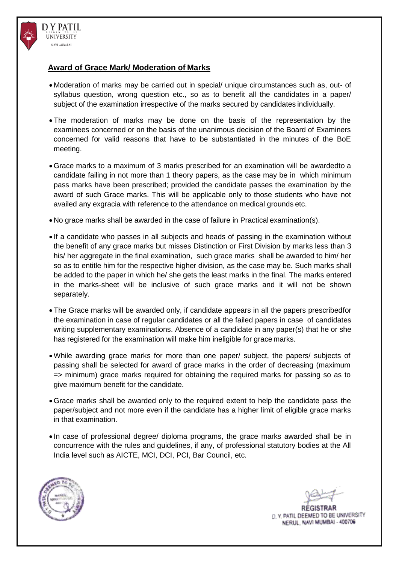

#### **Award of Grace Mark/ Moderation of Marks**

- Moderation of marks may be carried out in special/ unique circumstances such as, out- of syllabus question, wrong question etc., so as to benefit all the candidates in a paper/ subject of the examination irrespective of the marks secured by candidates individually.
- The moderation of marks may be done on the basis of the representation by the examinees concerned or on the basis of the unanimous decision of the Board of Examiners concerned for valid reasons that have to be substantiated in the minutes of the BoE meeting.
- Grace marks to a maximum of 3 marks prescribed for an examination will be awardedto a candidate failing in not more than 1 theory papers, as the case may be in which minimum pass marks have been prescribed; provided the candidate passes the examination by the award of such Grace marks. This will be applicable only to those students who have not availed any exgracia with reference to the attendance on medical grounds etc.
- No grace marks shall be awarded in the case of failure in Practical examination(s).
- If a candidate who passes in all subjects and heads of passing in the examination without the benefit of any grace marks but misses Distinction or First Division by marks less than 3 his/ her aggregate in the final examination, such grace marks shall be awarded to him/ her so as to entitle him for the respective higher division, as the case may be. Such marks shall be added to the paper in which he/ she gets the least marks in the final. The marks entered in the marks-sheet will be inclusive of such grace marks and it will not be shown separately.
- The Grace marks will be awarded only, if candidate appears in all the papers prescribedfor the examination in case of regular candidates or all the failed papers in case of candidates writing supplementary examinations. Absence of a candidate in any paper(s) that he or she has registered for the examination will make him ineligible for grace marks.
- While awarding grace marks for more than one paper/ subject, the papers/ subjects of passing shall be selected for award of grace marks in the order of decreasing (maximum => minimum) grace marks required for obtaining the required marks for passing so as to give maximum benefit for the candidate.
- Grace marks shall be awarded only to the required extent to help the candidate pass the paper/subject and not more even if the candidate has a higher limit of eligible grace marks in that examination.
- In case of professional degree/ diploma programs, the grace marks awarded shall be in concurrence with the rules and guidelines, if any, of professional statutory bodies at the All India level such as AICTE, MCI, DCI, PCI, Bar Council, etc.

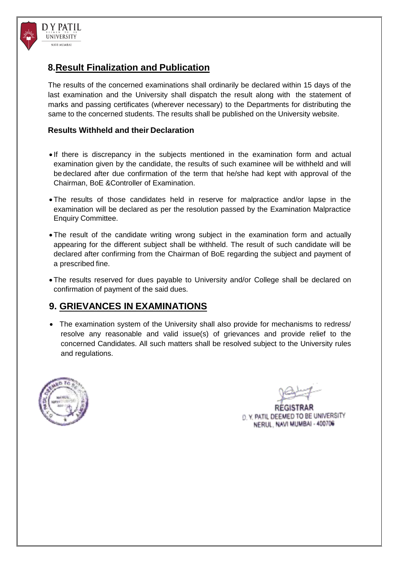

## **8.Result Finalization and Publication**

The results of the concerned examinations shall ordinarily be declared within 15 days of the last examination and the University shall dispatch the result along with the statement of marks and passing certificates (wherever necessary) to the Departments for distributing the same to the concerned students. The results shall be published on the University website.

#### **Results Withheld and their Declaration**

- If there is discrepancy in the subjects mentioned in the examination form and actual examination given by the candidate, the results of such examinee will be withheld and will be declared after due confirmation of the term that he/she had kept with approval of the Chairman, BoE &Controller of Examination.
- The results of those candidates held in reserve for malpractice and/or lapse in the examination will be declared as per the resolution passed by the Examination Malpractice Enquiry Committee.
- The result of the candidate writing wrong subject in the examination form and actually appearing for the different subject shall be withheld. The result of such candidate will be declared after confirming from the Chairman of BoE regarding the subject and payment of a prescribed fine.
- The results reserved for dues payable to University and/or College shall be declared on confirmation of payment of the said dues.

## **9. GRIEVANCES IN EXAMINATIONS**

 The examination system of the University shall also provide for mechanisms to redress/ resolve any reasonable and valid issue(s) of grievances and provide relief to the concerned Candidates. All such matters shall be resolved subject to the University rules and regulations.



D. Y. PATIL DEEMED TO BE UNIVERSITY NERUL, NAVI MUMBAI - 400706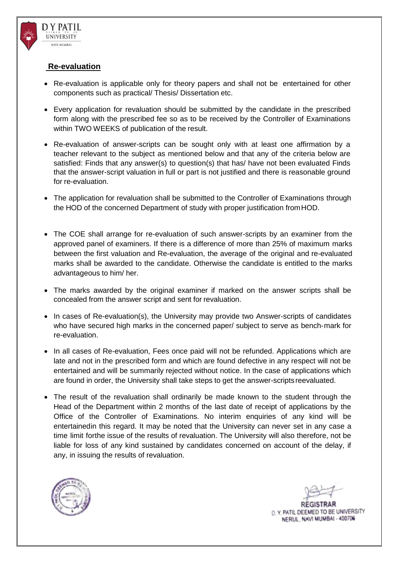

**DY PATIL** UNIVERSITY NAVI MIJMRAI

- Re-evaluation is applicable only for theory papers and shall not be entertained for other components such as practical/ Thesis/ Dissertation etc.
- Every application for revaluation should be submitted by the candidate in the prescribed form along with the prescribed fee so as to be received by the Controller of Examinations within TWO WEEKS of publication of the result.
- Re-evaluation of answer-scripts can be sought only with at least one affirmation by a teacher relevant to the subject as mentioned below and that any of the criteria below are satisfied: Finds that any answer(s) to question(s) that has/ have not been evaluated Finds that the answer-script valuation in full or part is not justified and there is reasonable ground for re-evaluation.
- The application for revaluation shall be submitted to the Controller of Examinations through the HOD of the concerned Department of study with proper justification fromHOD.
- The COE shall arrange for re-evaluation of such answer-scripts by an examiner from the approved panel of examiners. If there is a difference of more than 25% of maximum marks between the first valuation and Re-evaluation, the average of the original and re-evaluated marks shall be awarded to the candidate. Otherwise the candidate is entitled to the marks advantageous to him/ her.
- The marks awarded by the original examiner if marked on the answer scripts shall be concealed from the answer script and sent for revaluation.
- In cases of Re-evaluation(s), the University may provide two Answer-scripts of candidates who have secured high marks in the concerned paper/ subject to serve as bench-mark for re-evaluation.
- In all cases of Re-evaluation, Fees once paid will not be refunded. Applications which are late and not in the prescribed form and which are found defective in any respect will not be entertained and will be summarily rejected without notice. In the case of applications which are found in order, the University shall take steps to get the answer-scripts reevaluated.
- The result of the revaluation shall ordinarily be made known to the student through the Head of the Department within 2 months of the last date of receipt of applications by the Office of the Controller of Examinations. No interim enquiries of any kind will be entertainedin this regard. It may be noted that the University can never set in any case a time limit forthe issue of the results of revaluation. The University will also therefore, not be liable for loss of any kind sustained by candidates concerned on account of the delay, if any, in issuing the results of revaluation.

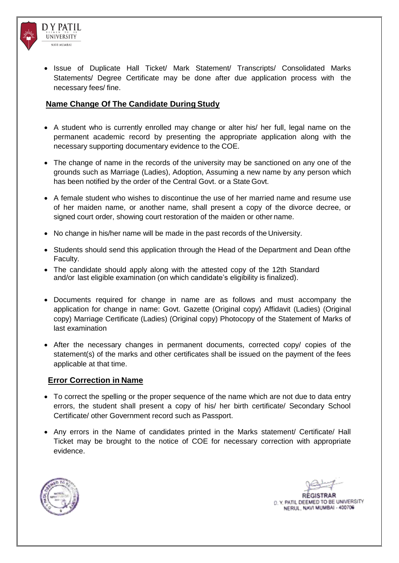

• Issue of Duplicate Hall Ticket/ Mark Statement/ Transcripts/ Consolidated Marks Statements/ Degree Certificate may be done after due application process with the necessary fees/ fine.

#### **Name Change Of The Candidate During Study**

- A student who is currently enrolled may change or alter his/ her full, legal name on the permanent academic record by presenting the appropriate application along with the necessary supporting documentary evidence to the COE.
- The change of name in the records of the university may be sanctioned on any one of the grounds such as Marriage (Ladies), Adoption, Assuming a new name by any person which has been notified by the order of the Central Govt. or a State Govt.
- A female student who wishes to discontinue the use of her married name and resume use of her maiden name, or another name, shall present a copy of the divorce decree, or signed court order, showing court restoration of the maiden or other name.
- No change in his/her name will be made in the past records of the University.
- Students should send this application through the Head of the Department and Dean of the Faculty.
- The candidate should apply along with the attested copy of the 12th Standard and/or last eligible examination (on which candidate's eligibility is finalized).
- Documents required for change in name are as follows and must accompany the application for change in name: Govt. Gazette (Original copy) Affidavit (Ladies) (Original copy) Marriage Certificate (Ladies) (Original copy) Photocopy of the Statement of Marks of last examination
- After the necessary changes in permanent documents, corrected copy/ copies of the statement(s) of the marks and other certificates shall be issued on the payment of the fees applicable at that time.

#### **Error Correction in Name**

- To correct the spelling or the proper sequence of the name which are not due to data entry errors, the student shall present a copy of his/ her birth certificate/ Secondary School Certificate/ other Government record such as Passport.
- Any errors in the Name of candidates printed in the Marks statement/ Certificate/ Hall Ticket may be brought to the notice of COE for necessary correction with appropriate evidence.

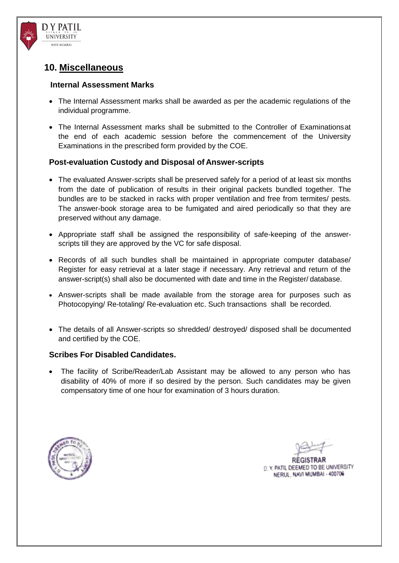

**DY PATIL** UNIVERSITY NAVI MIJMRAJ

#### **Internal Assessment Marks**

- The Internal Assessment marks shall be awarded as per the academic regulations of the individual programme.
- The Internal Assessment marks shall be submitted to the Controller of Examinationsat the end of each academic session before the commencement of the University Examinations in the prescribed form provided by the COE.

### **Post-evaluation Custody and Disposal of Answer-scripts**

- The evaluated Answer-scripts shall be preserved safely for a period of at least six months from the date of publication of results in their original packets bundled together. The bundles are to be stacked in racks with proper ventilation and free from termites/ pests. The answer-book storage area to be fumigated and aired periodically so that they are preserved without any damage.
- Appropriate staff shall be assigned the responsibility of safe-keeping of the answerscripts till they are approved by the VC for safe disposal.
- Records of all such bundles shall be maintained in appropriate computer database/ Register for easy retrieval at a later stage if necessary. Any retrieval and return of the answer-script(s) shall also be documented with date and time in the Register/ database.
- Answer-scripts shall be made available from the storage area for purposes such as Photocopying/ Re-totaling/ Re-evaluation etc. Such transactions shall be recorded.
- The details of all Answer-scripts so shredded/ destroyed/ disposed shall be documented and certified by the COE.

### **Scribes For Disabled Candidates.**

 The facility of Scribe/Reader/Lab Assistant may be allowed to any person who has disability of 40% of more if so desired by the person. Such candidates may be given compensatory time of one hour for examination of 3 hours duration.



D. Y. PATIL DEEMED TO BE UNIVERSITY NERUL, NAVI MUMBAI - 400706